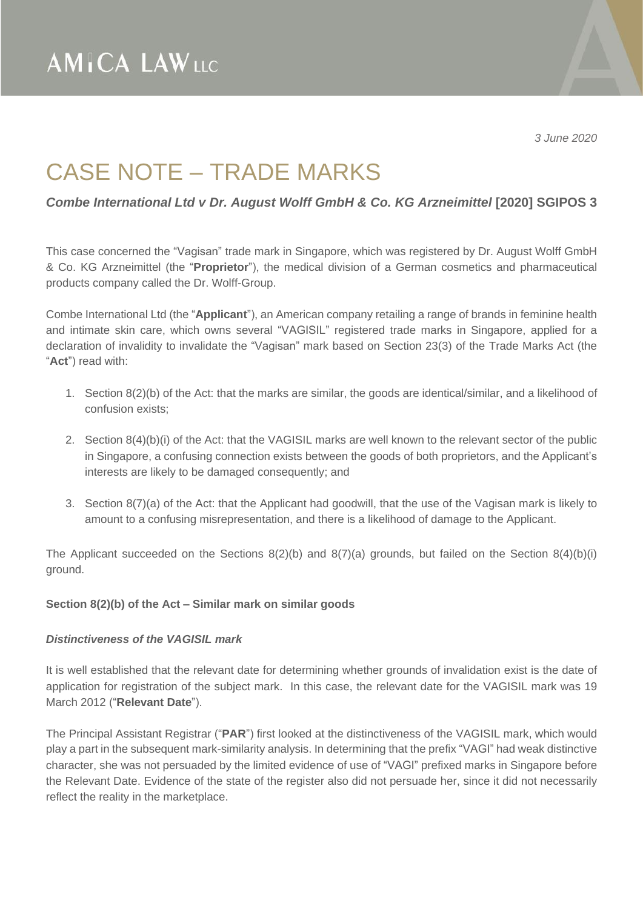*3 June 2020*

## CASE NOTE – TRADE MARKS

*Combe International Ltd v Dr. August Wolff GmbH & Co. KG Arzneimittel* **[2020] SGIPOS 3**

This case concerned the "Vagisan" trade mark in Singapore, which was registered by Dr. August Wolff GmbH & Co. KG Arzneimittel (the "**Proprietor**"), the medical division of a German cosmetics and pharmaceutical products company called the Dr. Wolff-Group.

Combe International Ltd (the "**Applicant**"), an American company retailing a range of brands in feminine health and intimate skin care, which owns several "VAGISIL" registered trade marks in Singapore, applied for a declaration of invalidity to invalidate the "Vagisan" mark based on Section 23(3) of the Trade Marks Act (the "**Act**") read with:

- 1. Section 8(2)(b) of the Act: that the marks are similar, the goods are identical/similar, and a likelihood of confusion exists;
- 2. Section 8(4)(b)(i) of the Act: that the VAGISIL marks are well known to the relevant sector of the public in Singapore, a confusing connection exists between the goods of both proprietors, and the Applicant's interests are likely to be damaged consequently; and
- 3. Section 8(7)(a) of the Act: that the Applicant had goodwill, that the use of the Vagisan mark is likely to amount to a confusing misrepresentation, and there is a likelihood of damage to the Applicant.

The Applicant succeeded on the Sections  $8(2)(b)$  and  $8(7)(a)$  grounds, but failed on the Section  $8(4)(b)(i)$ ground.

## **Section 8(2)(b) of the Act – Similar mark on similar goods**

#### *Distinctiveness of the VAGISIL mark*

It is well established that the relevant date for determining whether grounds of invalidation exist is the date of application for registration of the subject mark. In this case, the relevant date for the VAGISIL mark was 19 March 2012 ("**Relevant Date**").

The Principal Assistant Registrar ("**PAR**") first looked at the distinctiveness of the VAGISIL mark, which would play a part in the subsequent mark-similarity analysis. In determining that the prefix "VAGI" had weak distinctive character, she was not persuaded by the limited evidence of use of "VAGI" prefixed marks in Singapore before the Relevant Date. Evidence of the state of the register also did not persuade her, since it did not necessarily reflect the reality in the marketplace.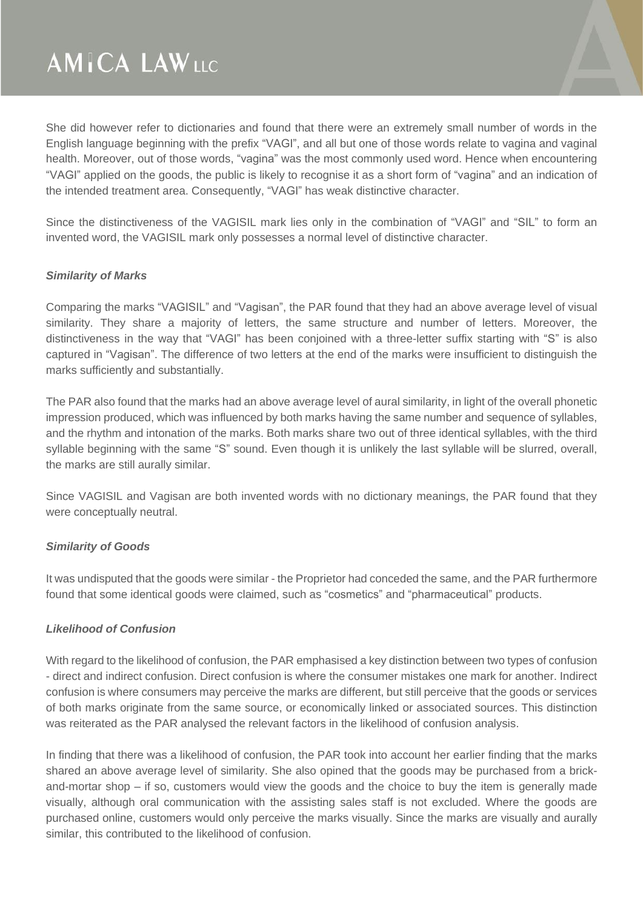# **AMICA LAWLLC**

She did however refer to dictionaries and found that there were an extremely small number of words in the English language beginning with the prefix "VAGI", and all but one of those words relate to vagina and vaginal health. Moreover, out of those words, "vagina" was the most commonly used word. Hence when encountering "VAGI" applied on the goods, the public is likely to recognise it as a short form of "vagina" and an indication of the intended treatment area. Consequently, "VAGI" has weak distinctive character.

Since the distinctiveness of the VAGISIL mark lies only in the combination of "VAGI" and "SIL" to form an invented word, the VAGISIL mark only possesses a normal level of distinctive character.

## *Similarity of Marks*

Comparing the marks "VAGISIL" and "Vagisan", the PAR found that they had an above average level of visual similarity. They share a majority of letters, the same structure and number of letters. Moreover, the distinctiveness in the way that "VAGI" has been conjoined with a three-letter suffix starting with "S" is also captured in "Vagisan". The difference of two letters at the end of the marks were insufficient to distinguish the marks sufficiently and substantially.

The PAR also found that the marks had an above average level of aural similarity, in light of the overall phonetic impression produced, which was influenced by both marks having the same number and sequence of syllables, and the rhythm and intonation of the marks. Both marks share two out of three identical syllables, with the third syllable beginning with the same "S" sound. Even though it is unlikely the last syllable will be slurred, overall, the marks are still aurally similar.

Since VAGISIL and Vagisan are both invented words with no dictionary meanings, the PAR found that they were conceptually neutral.

## *Similarity of Goods*

It was undisputed that the goods were similar - the Proprietor had conceded the same, and the PAR furthermore found that some identical goods were claimed, such as "cosmetics" and "pharmaceutical" products.

#### *Likelihood of Confusion*

With regard to the likelihood of confusion, the PAR emphasised a key distinction between two types of confusion - direct and indirect confusion. Direct confusion is where the consumer mistakes one mark for another. Indirect confusion is where consumers may perceive the marks are different, but still perceive that the goods or services of both marks originate from the same source, or economically linked or associated sources. This distinction was reiterated as the PAR analysed the relevant factors in the likelihood of confusion analysis.

In finding that there was a likelihood of confusion, the PAR took into account her earlier finding that the marks shared an above average level of similarity. She also opined that the goods may be purchased from a brickand-mortar shop – if so, customers would view the goods and the choice to buy the item is generally made visually, although oral communication with the assisting sales staff is not excluded. Where the goods are purchased online, customers would only perceive the marks visually. Since the marks are visually and aurally similar, this contributed to the likelihood of confusion.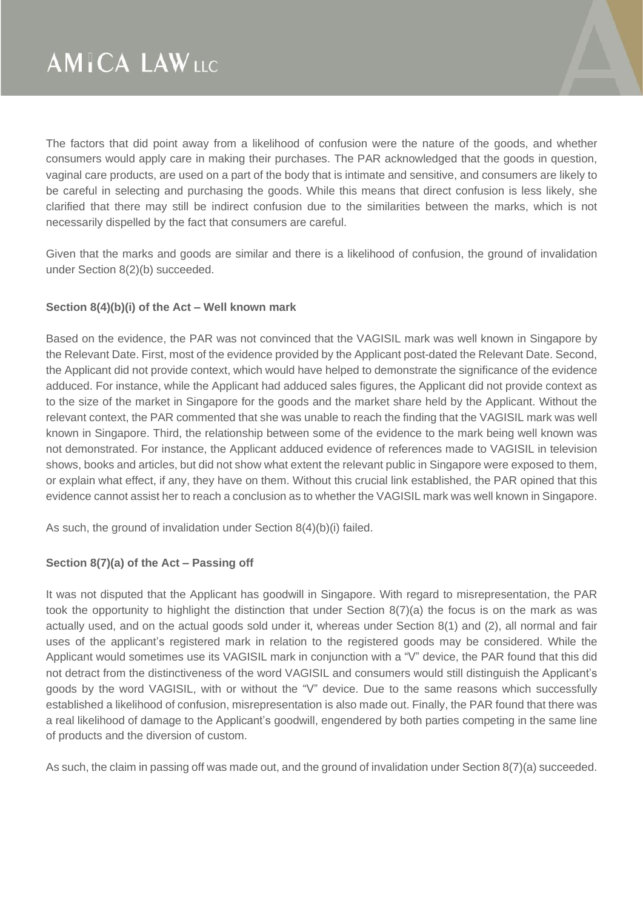The factors that did point away from a likelihood of confusion were the nature of the goods, and whether consumers would apply care in making their purchases. The PAR acknowledged that the goods in question, vaginal care products, are used on a part of the body that is intimate and sensitive, and consumers are likely to be careful in selecting and purchasing the goods. While this means that direct confusion is less likely, she clarified that there may still be indirect confusion due to the similarities between the marks, which is not necessarily dispelled by the fact that consumers are careful.

Given that the marks and goods are similar and there is a likelihood of confusion, the ground of invalidation under Section 8(2)(b) succeeded.

## **Section 8(4)(b)(i) of the Act – Well known mark**

Based on the evidence, the PAR was not convinced that the VAGISIL mark was well known in Singapore by the Relevant Date. First, most of the evidence provided by the Applicant post-dated the Relevant Date. Second, the Applicant did not provide context, which would have helped to demonstrate the significance of the evidence adduced. For instance, while the Applicant had adduced sales figures, the Applicant did not provide context as to the size of the market in Singapore for the goods and the market share held by the Applicant. Without the relevant context, the PAR commented that she was unable to reach the finding that the VAGISIL mark was well known in Singapore. Third, the relationship between some of the evidence to the mark being well known was not demonstrated. For instance, the Applicant adduced evidence of references made to VAGISIL in television shows, books and articles, but did not show what extent the relevant public in Singapore were exposed to them, or explain what effect, if any, they have on them. Without this crucial link established, the PAR opined that this evidence cannot assist her to reach a conclusion as to whether the VAGISIL mark was well known in Singapore.

As such, the ground of invalidation under Section 8(4)(b)(i) failed.

## **Section 8(7)(a) of the Act – Passing off**

It was not disputed that the Applicant has goodwill in Singapore. With regard to misrepresentation, the PAR took the opportunity to highlight the distinction that under Section 8(7)(a) the focus is on the mark as was actually used, and on the actual goods sold under it, whereas under Section 8(1) and (2), all normal and fair uses of the applicant's registered mark in relation to the registered goods may be considered. While the Applicant would sometimes use its VAGISIL mark in conjunction with a "V" device, the PAR found that this did not detract from the distinctiveness of the word VAGISIL and consumers would still distinguish the Applicant's goods by the word VAGISIL, with or without the "V" device. Due to the same reasons which successfully established a likelihood of confusion, misrepresentation is also made out. Finally, the PAR found that there was a real likelihood of damage to the Applicant's goodwill, engendered by both parties competing in the same line of products and the diversion of custom.

As such, the claim in passing off was made out, and the ground of invalidation under Section 8(7)(a) succeeded.